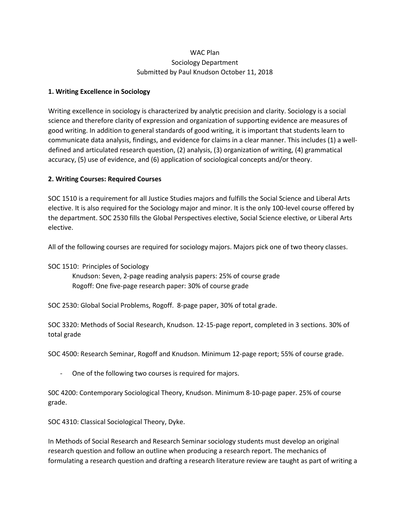## WAC Plan Sociology Department Submitted by Paul Knudson October 11, 2018

## **1. Writing Excellence in Sociology**

Writing excellence in sociology is characterized by analytic precision and clarity. Sociology is a social science and therefore clarity of expression and organization of supporting evidence are measures of good writing. In addition to general standards of good writing, it is important that students learn to communicate data analysis, findings, and evidence for claims in a clear manner. This includes (1) a welldefined and articulated research question, (2) analysis, (3) organization of writing, (4) grammatical accuracy, (5) use of evidence, and (6) application of sociological concepts and/or theory.

## **2. Writing Courses: Required Courses**

SOC 1510 is a requirement for all Justice Studies majors and fulfills the Social Science and Liberal Arts elective. It is also required for the Sociology major and minor. It is the only 100-level course offered by the department. SOC 2530 fills the Global Perspectives elective, Social Science elective, or Liberal Arts elective.

All of the following courses are required for sociology majors. Majors pick one of two theory classes.

SOC 1510: Principles of Sociology Knudson: Seven, 2-page reading analysis papers: 25% of course grade Rogoff: One five-page research paper: 30% of course grade

SOC 2530: Global Social Problems, Rogoff. 8-page paper, 30% of total grade.

SOC 3320: Methods of Social Research, Knudson. 12-15-page report, completed in 3 sections. 30% of total grade

SOC 4500: Research Seminar, Rogoff and Knudson. Minimum 12-page report; 55% of course grade.

One of the following two courses is required for majors.

S0C 4200: Contemporary Sociological Theory, Knudson. Minimum 8-10-page paper. 25% of course grade.

SOC 4310: Classical Sociological Theory, Dyke.

In Methods of Social Research and Research Seminar sociology students must develop an original research question and follow an outline when producing a research report. The mechanics of formulating a research question and drafting a research literature review are taught as part of writing a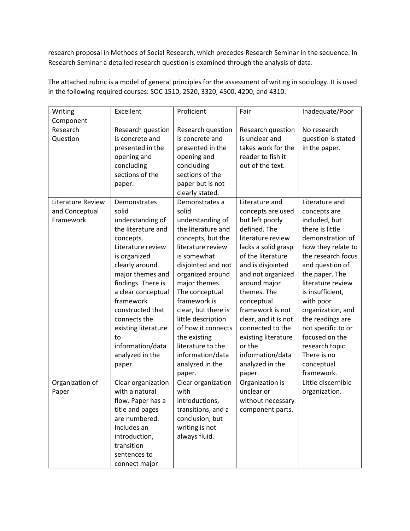research proposal in Methods of Social Research, which precedes Research Seminar in the sequence. In Research Seminar a detailed research question is examined through the analysis of data.

The attached rubric is a model of general principles for the assessment of writing in sociology. It is used in the following required courses: SOC 1510, 2520, 3320, 4500, 4200, and 4310.

| Writing<br>Component                             | Excellent                                                                                                                                                                                                                                                                                                                          | Proficient                                                                                                                                                                                                                                                                                                                                                                       | Fair                                                                                                                                                                                                                                                                                                                                                                             | Inadequate/Poor                                                                                                                                                                                                                                                                                                                                                              |
|--------------------------------------------------|------------------------------------------------------------------------------------------------------------------------------------------------------------------------------------------------------------------------------------------------------------------------------------------------------------------------------------|----------------------------------------------------------------------------------------------------------------------------------------------------------------------------------------------------------------------------------------------------------------------------------------------------------------------------------------------------------------------------------|----------------------------------------------------------------------------------------------------------------------------------------------------------------------------------------------------------------------------------------------------------------------------------------------------------------------------------------------------------------------------------|------------------------------------------------------------------------------------------------------------------------------------------------------------------------------------------------------------------------------------------------------------------------------------------------------------------------------------------------------------------------------|
| Research<br>Question                             | Research question<br>is concrete and<br>presented in the<br>opening and<br>concluding<br>sections of the<br>paper.                                                                                                                                                                                                                 | Research question<br>is concrete and<br>presented in the<br>opening and<br>concluding<br>sections of the<br>paper but is not<br>clearly stated.                                                                                                                                                                                                                                  | Research question<br>is unclear and<br>takes work for the<br>reader to fish it<br>out of the text.                                                                                                                                                                                                                                                                               | No research<br>question is stated<br>in the paper.                                                                                                                                                                                                                                                                                                                           |
| Literature Review<br>and Conceptual<br>Framework | Demonstrates<br>solid<br>understanding of<br>the literature and<br>concepts.<br>Literature review<br>is organized<br>clearly around<br>major themes and<br>findings. There is<br>a clear conceptual<br>framework<br>constructed that<br>connects the<br>existing literature<br>to<br>information/data<br>analyzed in the<br>paper. | Demonstrates a<br>solid<br>understanding of<br>the literature and<br>concepts, but the<br>literature review<br>is somewhat<br>disjointed and not<br>organized around<br>major themes.<br>The conceptual<br>framework is<br>clear, but there is<br>little description<br>of how it connects<br>the existing<br>literature to the<br>information/data<br>analyzed in the<br>paper. | Literature and<br>concepts are used<br>but left poorly<br>defined. The<br>literature review<br>lacks a solid grasp<br>of the literature<br>and is disjointed<br>and not organized<br>around major<br>themes. The<br>conceptual<br>framework is not<br>clear, and it is not<br>connected to the<br>existing literature<br>or the<br>information/data<br>analyzed in the<br>paper. | Literature and<br>concepts are<br>included, but<br>there is little<br>demonstration of<br>how they relate to<br>the research focus<br>and question of<br>the paper. The<br>literature review<br>is insufficient,<br>with poor<br>organization, and<br>the readings are<br>not specific to or<br>focused on the<br>research topic.<br>There is no<br>conceptual<br>framework. |
| Organization of<br>Paper                         | Clear organization<br>with a natural<br>flow. Paper has a<br>title and pages<br>are numbered.<br>Includes an<br>introduction,<br>transition<br>sentences to<br>connect major                                                                                                                                                       | Clear organization<br>with<br>introductions,<br>transitions, and a<br>conclusion, but<br>writing is not<br>always fluid.                                                                                                                                                                                                                                                         | Organization is<br>unclear or<br>without necessary<br>component parts.                                                                                                                                                                                                                                                                                                           | Little discernible<br>organization.                                                                                                                                                                                                                                                                                                                                          |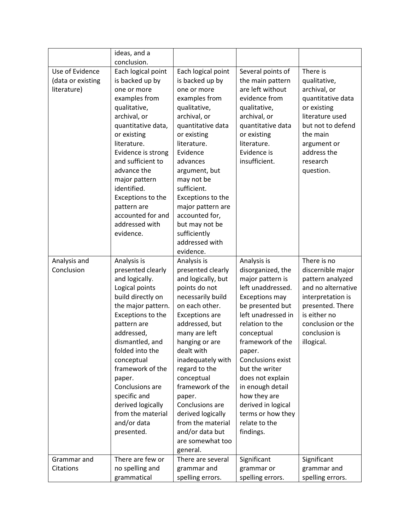|                            | ideas, and a                     |                                     |                                       |                                        |
|----------------------------|----------------------------------|-------------------------------------|---------------------------------------|----------------------------------------|
|                            | conclusion.                      |                                     |                                       |                                        |
| Use of Evidence            | Each logical point               | Each logical point                  | Several points of                     | There is                               |
| (data or existing          | is backed up by                  | is backed up by                     | the main pattern                      | qualitative,                           |
| literature)                | one or more                      | one or more                         | are left without                      | archival, or                           |
|                            | examples from                    | examples from                       | evidence from                         | quantitative data                      |
|                            | qualitative,                     | qualitative,                        | qualitative,                          | or existing                            |
|                            | archival, or                     | archival, or                        | archival, or                          | literature used                        |
|                            | quantitative data,               | quantitative data                   | quantitative data                     | but not to defend                      |
|                            | or existing                      | or existing                         | or existing                           | the main                               |
|                            | literature.                      | literature.                         | literature.                           | argument or                            |
|                            | Evidence is strong               | Evidence                            | Evidence is                           | address the                            |
|                            | and sufficient to                | advances                            | insufficient.                         | research                               |
|                            | advance the                      | argument, but                       |                                       | question.                              |
|                            | major pattern                    | may not be                          |                                       |                                        |
|                            | identified.                      | sufficient.                         |                                       |                                        |
|                            | Exceptions to the                | Exceptions to the                   |                                       |                                        |
|                            | pattern are                      | major pattern are                   |                                       |                                        |
|                            | accounted for and                | accounted for,                      |                                       |                                        |
|                            | addressed with                   | but may not be                      |                                       |                                        |
|                            | evidence.                        | sufficiently<br>addressed with      |                                       |                                        |
|                            |                                  |                                     |                                       |                                        |
|                            |                                  | evidence.                           |                                       | There is no                            |
| Analysis and<br>Conclusion | Analysis is                      | Analysis is                         | Analysis is                           |                                        |
|                            | presented clearly                | presented clearly                   | disorganized, the                     | discernible major                      |
|                            | and logically.<br>Logical points | and logically, but<br>points do not | major pattern is<br>left unaddressed. | pattern analyzed<br>and no alternative |
|                            | build directly on                | necessarily build                   | <b>Exceptions may</b>                 | interpretation is                      |
|                            | the major pattern.               | on each other.                      | be presented but                      | presented. There                       |
|                            | Exceptions to the                | <b>Exceptions are</b>               | left unadressed in                    | is either no                           |
|                            | pattern are                      | addressed, but                      | relation to the                       | conclusion or the                      |
|                            | addressed,                       | many are left                       | conceptual                            | conclusion is                          |
|                            | dismantled, and                  | hanging or are                      | framework of the                      | illogical.                             |
|                            | folded into the                  | dealt with                          | paper.                                |                                        |
|                            | conceptual                       | inadequately with                   | Conclusions exist                     |                                        |
|                            | framework of the                 | regard to the                       | but the writer                        |                                        |
|                            | paper.                           | conceptual                          | does not explain                      |                                        |
|                            | Conclusions are                  | framework of the                    | in enough detail                      |                                        |
|                            | specific and                     | paper.                              | how they are                          |                                        |
|                            | derived logically                | Conclusions are                     | derived in logical                    |                                        |
|                            | from the material                | derived logically                   | terms or how they                     |                                        |
|                            | and/or data                      | from the material                   | relate to the                         |                                        |
|                            | presented.                       | and/or data but                     | findings.                             |                                        |
|                            |                                  | are somewhat too                    |                                       |                                        |
|                            |                                  | general.                            |                                       |                                        |
| Grammar and                | There are few or                 | There are several                   | Significant                           | Significant                            |
| Citations                  | no spelling and                  | grammar and                         | grammar or                            | grammar and                            |
|                            | grammatical                      | spelling errors.                    | spelling errors.                      | spelling errors.                       |